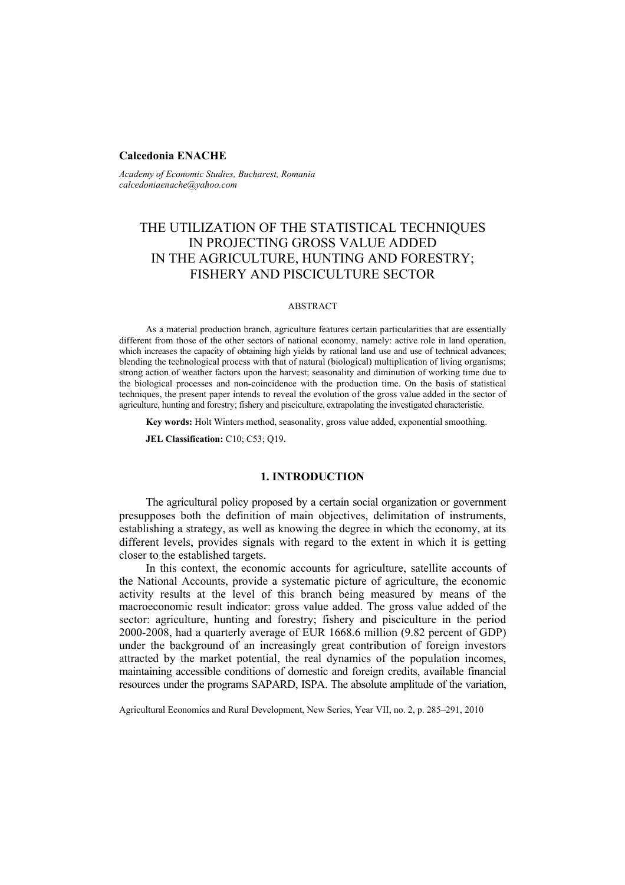### **Calcedonia ENACHE**

*Academy of Economic Studies, Bucharest, Romania calcedoniaenache@yahoo.com* 

# THE UTILIZATION OF THE STATISTICAL TECHNIQUES IN PROJECTING GROSS VALUE ADDED IN THE AGRICULTURE, HUNTING AND FORESTRY; FISHERY AND PISCICULTURE SECTOR

### ABSTRACT

As a material production branch, agriculture features certain particularities that are essentially different from those of the other sectors of national economy, namely: active role in land operation, which increases the capacity of obtaining high yields by rational land use and use of technical advances; blending the technological process with that of natural (biological) multiplication of living organisms; strong action of weather factors upon the harvest; seasonality and diminution of working time due to the biological processes and non-coincidence with the production time. On the basis of statistical techniques, the present paper intends to reveal the evolution of the gross value added in the sector of agriculture, hunting and forestry; fishery and pisciculture, extrapolating the investigated characteristic.

**Key words:** Holt Winters method, seasonality, gross value added, exponential smoothing.

**JEL Classification:** C10; C53; Q19.

# **1. INTRODUCTION**

The agricultural policy proposed by a certain social organization or government presupposes both the definition of main objectives, delimitation of instruments, establishing a strategy, as well as knowing the degree in which the economy, at its different levels, provides signals with regard to the extent in which it is getting closer to the established targets.

In this context, the economic accounts for agriculture, satellite accounts of the National Accounts, provide a systematic picture of agriculture, the economic activity results at the level of this branch being measured by means of the macroeconomic result indicator: gross value added. The gross value added of the sector: agriculture, hunting and forestry; fishery and pisciculture in the period 2000-2008, had a quarterly average of EUR 1668.6 million (9.82 percent of GDP) under the background of an increasingly great contribution of foreign investors attracted by the market potential, the real dynamics of the population incomes, maintaining accessible conditions of domestic and foreign credits, available financial resources under the programs SAPARD, ISPA. The absolute amplitude of the variation,

Agricultural Economics and Rural Development, New Series, Year VII, no. 2, p. 285–291, 2010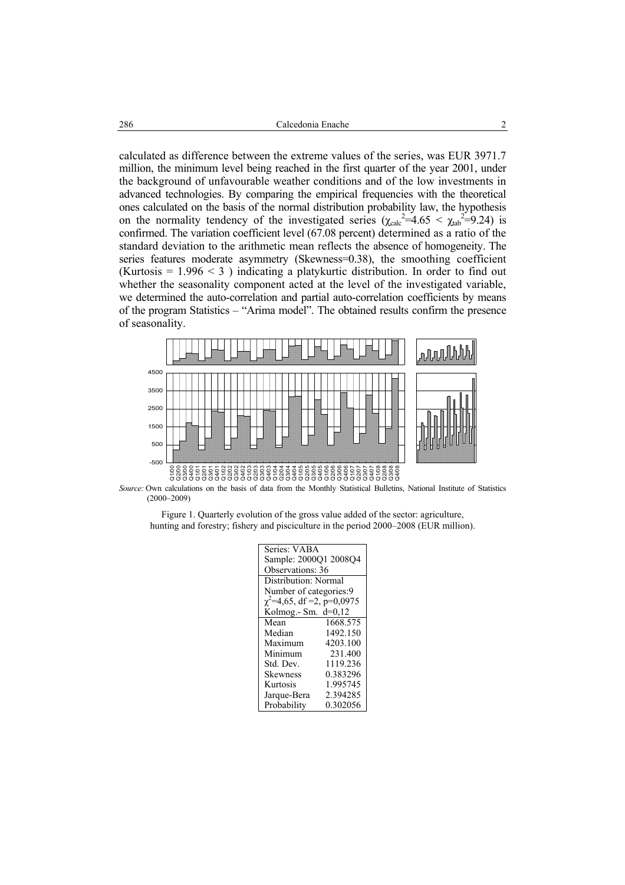calculated as difference between the extreme values of the series, was EUR 3971.7 million, the minimum level being reached in the first quarter of the year 2001, under the background of unfavourable weather conditions and of the low investments in advanced technologies. By comparing the empirical frequencies with the theoretical ones calculated on the basis of the normal distribution probability law, the hypothesis on the normality tendency of the investigated series  $(\chi_{calc}^2=4.65 < \chi_{tab}^2=9.24)$  is confirmed. The variation coefficient level (67.08 percent) determined as a ratio of the standard deviation to the arithmetic mean reflects the absence of homogeneity. The series features moderate asymmetry (Skewness=0.38), the smoothing coefficient (Kurtosis =  $1.996 < 3$ ) indicating a platykurtic distribution. In order to find out whether the seasonality component acted at the level of the investigated variable, we determined the auto-correlation and partial auto-correlation coefficients by means of the program Statistics – "Arima model". The obtained results confirm the presence of seasonality.



*Source:* Own calculations on the basis of data from the Monthly Statistical Bulletins, National Institute of Statistics (2000–2009)

| Figure 1. Quarterly evolution of the gross value added of the sector: agriculture,    |  |
|---------------------------------------------------------------------------------------|--|
| hunting and forestry; fishery and pisciculture in the period 2000–2008 (EUR million). |  |

| Series: VABA                    |          |  |  |
|---------------------------------|----------|--|--|
| Sample: 2000Q1 2008Q4           |          |  |  |
| <b>Observations: 36</b>         |          |  |  |
| Distribution: Normal            |          |  |  |
| Number of categories:9          |          |  |  |
| $\chi^2$ =4,65, df =2, p=0,0975 |          |  |  |
| Kolmog.- Sm. $d=0,12$           |          |  |  |
| Mean                            | 1668.575 |  |  |
| Median                          | 1492.150 |  |  |
| Maximum                         | 4203.100 |  |  |
| Minimum                         | 231.400  |  |  |
| Std. Dev.                       | 1119.236 |  |  |
| <b>Skewness</b>                 | 0.383296 |  |  |
| Kurtosis                        | 1.995745 |  |  |
| Jarque-Bera                     | 2.394285 |  |  |
| Probability                     | 0.302056 |  |  |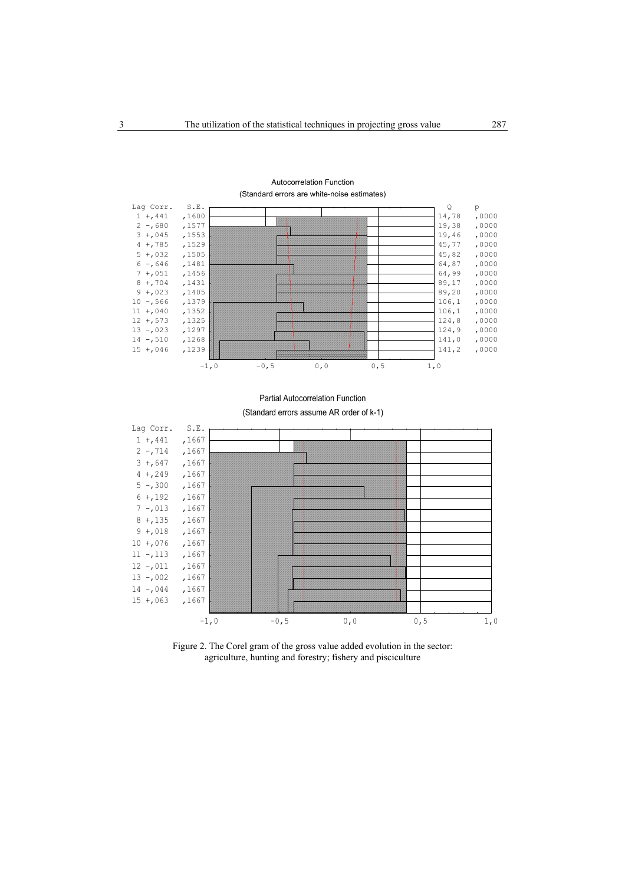

## Autocorrelation Function

(Standard errors are white-noise estimates)

Partial Autocorrelation Function



Figure 2. The Corel gram of the gross value added evolution in the sector: agriculture, hunting and forestry; fishery and pisciculture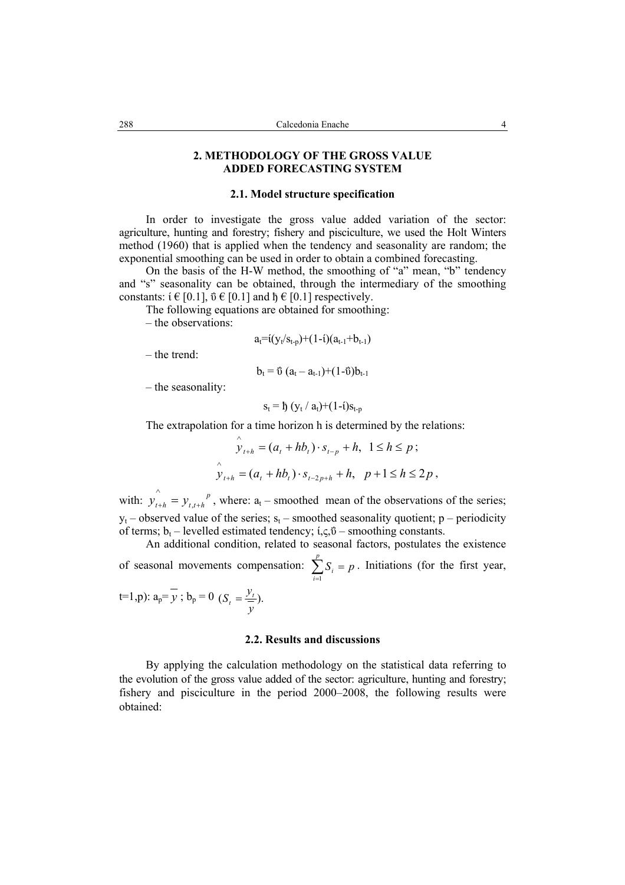### **2. METHODOLOGY OF THE GROSS VALUE ADDED FORECASTING SYSTEM**

### **2.1. Model structure specification**

In order to investigate the gross value added variation of the sector: agriculture, hunting and forestry; fishery and pisciculture, we used the Holt Winters method (1960) that is applied when the tendency and seasonality are random; the exponential smoothing can be used in order to obtain a combined forecasting.

On the basis of the H-W method, the smoothing of "a" mean, "b" tendency and "s" seasonality can be obtained, through the intermediary of the smoothing constants:  $i \in [0.1]$ ,  $\ddot{v} \in [0.1]$  and  $\ddot{h} \in [0.1]$  respectively.

The following equations are obtained for smoothing:

– the observations:

$$
a_t = i(y_t/s_{t-p}) + (1-i)(a_{t-1}+b_{t-1})
$$

– the trend:

$$
b_t = \mathfrak{V}\ (a_t - a_{t-1}) + (1 - \mathfrak{V})b_{t-1}
$$

– the seasonality:

$$
s_t = \mathfrak{h}\left(y_t / a_t\right) + (1 - i)s_{t-p}
$$

The extrapolation for a time horizon h is determined by the relations:

$$
\hat{y}_{t+h} = (a_t + hb_t) \cdot s_{t-p} + h, \ 1 \le h \le p ;
$$
\n
$$
\hat{y}_{t+h} = (a_t + hb_t) \cdot s_{t-2p+h} + h, \ p+1 \le h \le 2p ,
$$

with:  $y_{t+h} = y_{t,t+h}^p$ , where:  $a_t$  – smoothed mean of the observations of the series;  $y_t$  – observed value of the series;  $s_t$  – smoothed seasonality quotient; p – periodicity of terms;  $b_t$  – levelled estimated tendency;  $i, \varsigma, \tilde{\upsilon}$  – smoothing constants.

An additional condition, related to seasonal factors, postulates the existence of seasonal movements compensation:  $\sum_{i=1}^{p} S_i =$  $\sum_{i=1}$  *S<sub>i</sub>* = *p* . Initiations (for the first year,

 $t=1, p$ :  $a_p = y$ ;  $b_p = 0$  ( $S_t = \frac{y_t}{x}$ ). *y*  $S_t = \frac{y_t}{t}$ 

### **2.2. Results and discussions**

By applying the calculation methodology on the statistical data referring to the evolution of the gross value added of the sector: agriculture, hunting and forestry; fishery and pisciculture in the period 2000–2008, the following results were obtained: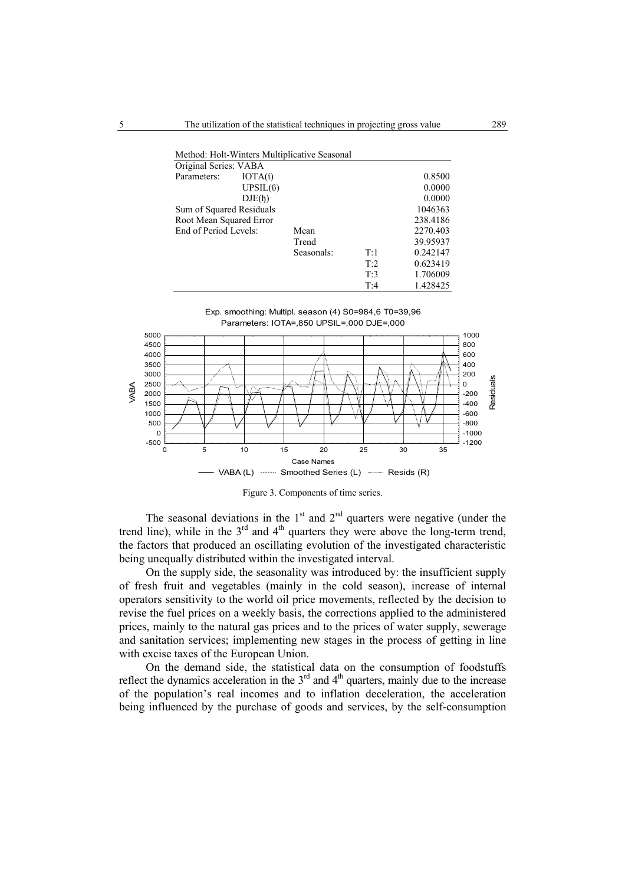|                          |                | Method: Holt-Winters Multiplicative Seasonal |     |          |
|--------------------------|----------------|----------------------------------------------|-----|----------|
| Original Series: VABA    |                |                                              |     |          |
| Parameters:              | IOTA(i)        |                                              |     | 0.8500   |
|                          | $UPSIL($ ΰ $)$ |                                              |     | 0.0000   |
|                          | DJE(h)         |                                              |     | 0.0000   |
| Sum of Squared Residuals |                |                                              |     | 1046363  |
| Root Mean Squared Error  |                |                                              |     | 238.4186 |
| End of Period Levels:    |                | Mean                                         |     | 2270.403 |
|                          |                | Trend                                        |     | 39.95937 |
|                          |                | Seasonals:                                   | T:1 | 0.242147 |
|                          |                |                                              | T:2 | 0.623419 |
|                          |                |                                              | T:3 | 1.706009 |
|                          |                |                                              | T:4 | 1.428425 |





Figure 3. Components of time series.

The seasonal deviations in the  $1<sup>st</sup>$  and  $2<sup>nd</sup>$  quarters were negative (under the trend line), while in the  $3<sup>rd</sup>$  and  $4<sup>th</sup>$  quarters they were above the long-term trend, the factors that produced an oscillating evolution of the investigated characteristic being unequally distributed within the investigated interval.

On the supply side, the seasonality was introduced by: the insufficient supply of fresh fruit and vegetables (mainly in the cold season), increase of internal operators sensitivity to the world oil price movements, reflected by the decision to revise the fuel prices on a weekly basis, the corrections applied to the administered prices, mainly to the natural gas prices and to the prices of water supply, sewerage and sanitation services; implementing new stages in the process of getting in line with excise taxes of the European Union.

On the demand side, the statistical data on the consumption of foodstuffs reflect the dynamics acceleration in the  $3<sup>rd</sup>$  and  $4<sup>th</sup>$  quarters, mainly due to the increase of the population's real incomes and to inflation deceleration, the acceleration being influenced by the purchase of goods and services, by the self-consumption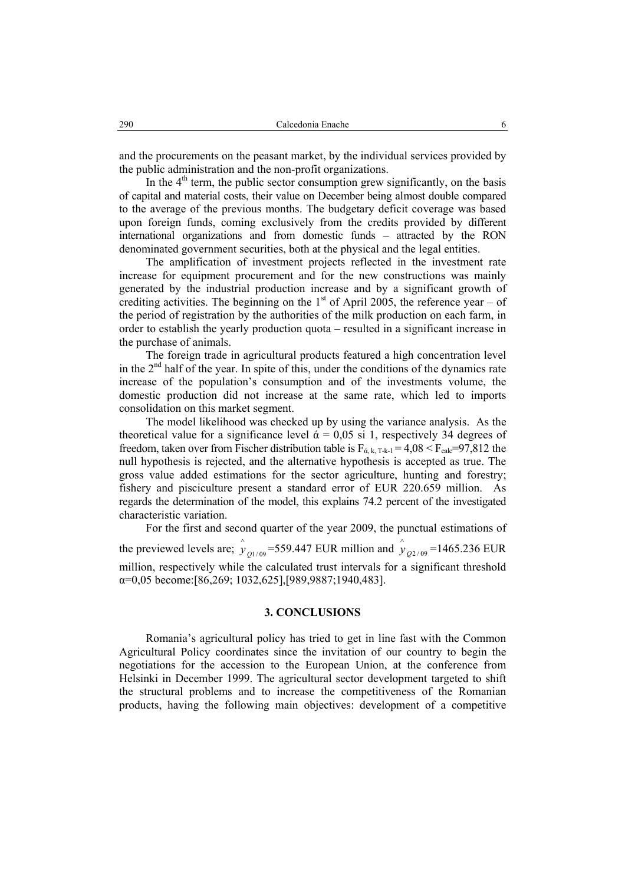and the procurements on the peasant market, by the individual services provided by the public administration and the non-profit organizations.

In the  $4<sup>th</sup>$  term, the public sector consumption grew significantly, on the basis of capital and material costs, their value on December being almost double compared to the average of the previous months. The budgetary deficit coverage was based upon foreign funds, coming exclusively from the credits provided by different international organizations and from domestic funds – attracted by the RON denominated government securities, both at the physical and the legal entities.

The amplification of investment projects reflected in the investment rate increase for equipment procurement and for the new constructions was mainly generated by the industrial production increase and by a significant growth of crediting activities. The beginning on the  $1<sup>st</sup>$  of April 2005, the reference year – of the period of registration by the authorities of the milk production on each farm, in order to establish the yearly production quota – resulted in a significant increase in the purchase of animals.

The foreign trade in agricultural products featured a high concentration level in the  $2<sup>nd</sup>$  half of the year. In spite of this, under the conditions of the dynamics rate increase of the population's consumption and of the investments volume, the domestic production did not increase at the same rate, which led to imports consolidation on this market segment.

The model likelihood was checked up by using the variance analysis. As the theoretical value for a significance level  $\alpha = 0.05$  si 1, respectively 34 degrees of freedom, taken over from Fischer distribution table is  $F_{\alpha, k, T-k-1} = 4.08 < F_{\text{calc}} = 97.812$  the null hypothesis is rejected, and the alternative hypothesis is accepted as true. The gross value added estimations for the sector agriculture, hunting and forestry; fishery and pisciculture present a standard error of EUR 220.659 million. As regards the determination of the model, this explains 74.2 percent of the investigated characteristic variation.

For the first and second quarter of the year 2009, the punctual estimations of the previewed levels are;  $\hat{y}_{Q1/09}$ =559.447 EUR million and  $\hat{y}_{Q2/09}$ =1465.236 EUR million, respectively while the calculated trust intervals for a significant threshold α=0,05 become:[86,269; 1032,625],[989,9887;1940,483].

### **3. CONCLUSIONS**

Romania's agricultural policy has tried to get in line fast with the Common Agricultural Policy coordinates since the invitation of our country to begin the negotiations for the accession to the European Union, at the conference from Helsinki in December 1999. The agricultural sector development targeted to shift the structural problems and to increase the competitiveness of the Romanian products, having the following main objectives: development of a competitive